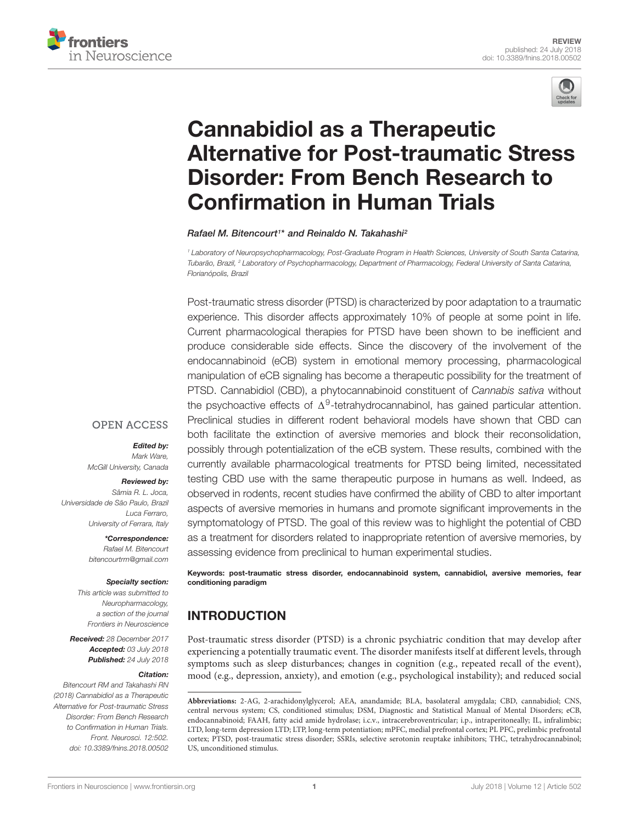



# Cannabidiol as a Therapeutic [Alternative for Post-traumatic Stress](https://www.frontiersin.org/articles/10.3389/fnins.2018.00502/full) Disorder: From Bench Research to Confirmation in Human Trials

[Rafael M. Bitencourt](http://loop.frontiersin.org/people/466439/overview)<sup>1</sup> \* and Reinaldo N. Takahashi<sup>2</sup>

<sup>1</sup> Laboratory of Neuropsychopharmacology, Post-Graduate Program in Health Sciences, University of South Santa Catarina, Tubarão, Brazil, <sup>2</sup> Laboratory of Psychopharmacology, Department of Pharmacology, Federal University of Santa Catarina, Florianópolis, Brazil

Post-traumatic stress disorder (PTSD) is characterized by poor adaptation to a traumatic experience. This disorder affects approximately 10% of people at some point in life. Current pharmacological therapies for PTSD have been shown to be inefficient and produce considerable side effects. Since the discovery of the involvement of the endocannabinoid (eCB) system in emotional memory processing, pharmacological manipulation of eCB signaling has become a therapeutic possibility for the treatment of PTSD. Cannabidiol (CBD), a phytocannabinoid constituent of Cannabis sativa without the psychoactive effects of  $\Delta^9$ -tetrahydrocannabinol, has gained particular attention. Preclinical studies in different rodent behavioral models have shown that CBD can both facilitate the extinction of aversive memories and block their reconsolidation, possibly through potentialization of the eCB system. These results, combined with the currently available pharmacological treatments for PTSD being limited, necessitated testing CBD use with the same therapeutic purpose in humans as well. Indeed, as observed in rodents, recent studies have confirmed the ability of CBD to alter important aspects of aversive memories in humans and promote significant improvements in the symptomatology of PTSD. The goal of this review was to highlight the potential of CBD as a treatment for disorders related to inappropriate retention of aversive memories, by assessing evidence from preclinical to human experimental studies.

**OPEN ACCESS** 

Edited by: Mark Ware,

McGill University, Canada

#### Reviewed by:

Sâmia R. L. Joca, Universidade de São Paulo, Brazil Luca Ferraro, University of Ferrara, Italy

> \*Correspondence: Rafael M. Bitencourt bitencourtrm@gmail.com

#### Specialty section:

This article was submitted to Neuropharmacology, a section of the journal Frontiers in Neuroscience

Received: 28 December 2017 Accepted: 03 July 2018 Published: 24 July 2018

#### Citation:

Bitencourt RM and Takahashi RN (2018) Cannabidiol as a Therapeutic Alternative for Post-traumatic Stress Disorder: From Bench Research to Confirmation in Human Trials. Front. Neurosci. 12:502. doi: [10.3389/fnins.2018.00502](https://doi.org/10.3389/fnins.2018.00502) Keywords: post-traumatic stress disorder, endocannabinoid system, cannabidiol, aversive memories, fear conditioning paradigm

## INTRODUCTION

Post-traumatic stress disorder (PTSD) is a chronic psychiatric condition that may develop after experiencing a potentially traumatic event. The disorder manifests itself at different levels, through symptoms such as sleep disturbances; changes in cognition (e.g., repeated recall of the event), mood (e.g., depression, anxiety), and emotion (e.g., psychological instability); and reduced social

**Abbreviations:** 2-AG, 2-arachidonylglycerol; AEA, anandamide; BLA, basolateral amygdala; CBD, cannabidiol; CNS, central nervous system; CS, conditioned stimulus; DSM, Diagnostic and Statistical Manual of Mental Disorders; eCB, endocannabinoid; FAAH, fatty acid amide hydrolase; i.c.v., intracerebroventricular; i.p., intraperitoneally; IL, infralimbic; LTD, long-term depression LTD; LTP, long-term potentiation; mPFC, medial prefrontal cortex; PL PFC, prelimbic prefrontal cortex; PTSD, post-traumatic stress disorder; SSRIs, selective serotonin reuptake inhibitors; THC, tetrahydrocannabinol; US, unconditioned stimulus.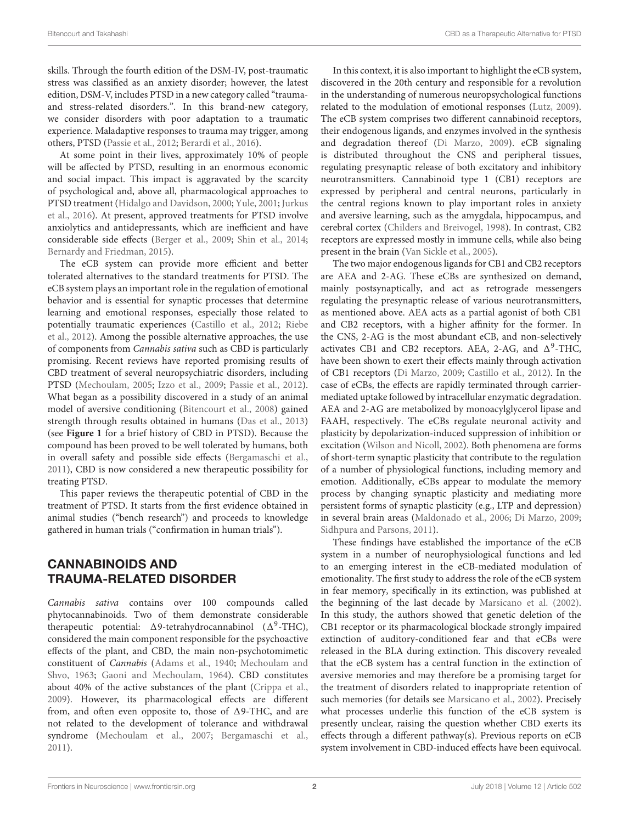skills. Through the fourth edition of the DSM-IV, post-traumatic stress was classified as an anxiety disorder; however, the latest edition, DSM-V, includes PTSD in a new category called "traumaand stress-related disorders.". In this brand-new category, we consider disorders with poor adaptation to a traumatic experience. Maladaptive responses to trauma may trigger, among others, PTSD [\(Passie et al.,](#page-8-0) [2012;](#page-8-0) [Berardi et al.,](#page-6-0) [2016\)](#page-6-0).

At some point in their lives, approximately 10% of people will be affected by PTSD, resulting in an enormous economic and social impact. This impact is aggravated by the scarcity of psychological and, above all, pharmacological approaches to PTSD treatment [\(Hidalgo and Davidson,](#page-8-1) [2000;](#page-8-1) [Yule,](#page-9-0) [2001;](#page-9-0) [Jurkus](#page-8-2) [et al.,](#page-8-2) [2016\)](#page-8-2). At present, approved treatments for PTSD involve anxiolytics and antidepressants, which are inefficient and have considerable side effects [\(Berger et al.,](#page-6-1) [2009;](#page-6-1) [Shin et al.,](#page-9-1) [2014;](#page-9-1) [Bernardy and Friedman,](#page-7-0) [2015\)](#page-7-0).

The eCB system can provide more efficient and better tolerated alternatives to the standard treatments for PTSD. The eCB system plays an important role in the regulation of emotional behavior and is essential for synaptic processes that determine learning and emotional responses, especially those related to potentially traumatic experiences [\(Castillo et al.,](#page-7-1) [2012;](#page-7-1) [Riebe](#page-9-2) [et al.,](#page-9-2) [2012\)](#page-9-2). Among the possible alternative approaches, the use of components from Cannabis sativa such as CBD is particularly promising. Recent reviews have reported promising results of CBD treatment of several neuropsychiatric disorders, including PTSD [\(Mechoulam,](#page-8-3) [2005;](#page-8-3) [Izzo et al.,](#page-8-4) [2009;](#page-8-4) [Passie et al.,](#page-8-0) [2012\)](#page-8-0). What began as a possibility discovered in a study of an animal model of aversive conditioning [\(Bitencourt et al.,](#page-7-2) [2008\)](#page-7-2) gained strength through results obtained in humans [\(Das et al.,](#page-7-3) [2013\)](#page-7-3) (see **[Figure 1](#page-2-0)** for a brief history of CBD in PTSD). Because the compound has been proved to be well tolerated by humans, both in overall safety and possible side effects [\(Bergamaschi et al.,](#page-6-2) [2011\)](#page-6-2), CBD is now considered a new therapeutic possibility for treating PTSD.

This paper reviews the therapeutic potential of CBD in the treatment of PTSD. It starts from the first evidence obtained in animal studies ("bench research") and proceeds to knowledge gathered in human trials ("confirmation in human trials").

#### CANNABINOIDS AND TRAUMA-RELATED DISORDER

Cannabis sativa contains over 100 compounds called phytocannabinoids. Two of them demonstrate considerable therapeutic potential:  $\Delta$ 9-tetrahydrocannabinol ( $\Delta$ <sup>9</sup>-THC), considered the main component responsible for the psychoactive effects of the plant, and CBD, the main non-psychotomimetic constituent of Cannabis [\(Adams et al.,](#page-6-3) [1940;](#page-6-3) [Mechoulam and](#page-8-5) [Shvo,](#page-8-5) [1963;](#page-8-5) [Gaoni and Mechoulam,](#page-7-4) [1964\)](#page-7-4). CBD constitutes about 40% of the active substances of the plant [\(Crippa et al.,](#page-7-5) [2009\)](#page-7-5). However, its pharmacological effects are different from, and often even opposite to, those of  $\Delta$ 9-THC, and are not related to the development of tolerance and withdrawal syndrome [\(Mechoulam et al.,](#page-8-6) [2007;](#page-8-6) [Bergamaschi et al.,](#page-6-2) [2011\)](#page-6-2).

In this context, it is also important to highlight the eCB system, discovered in the 20th century and responsible for a revolution in the understanding of numerous neuropsychological functions related to the modulation of emotional responses [\(Lutz,](#page-8-7) [2009\)](#page-8-7). The eCB system comprises two different cannabinoid receptors, their endogenous ligands, and enzymes involved in the synthesis and degradation thereof [\(Di Marzo,](#page-7-6) [2009\)](#page-7-6). eCB signaling is distributed throughout the CNS and peripheral tissues, regulating presynaptic release of both excitatory and inhibitory neurotransmitters. Cannabinoid type 1 (CB1) receptors are expressed by peripheral and central neurons, particularly in the central regions known to play important roles in anxiety and aversive learning, such as the amygdala, hippocampus, and cerebral cortex [\(Childers and Breivogel,](#page-7-7) [1998\)](#page-7-7). In contrast, CB2 receptors are expressed mostly in immune cells, while also being present in the brain [\(Van Sickle et al.,](#page-9-3) [2005\)](#page-9-3).

The two major endogenous ligands for CB1 and CB2 receptors are AEA and 2-AG. These eCBs are synthesized on demand, mainly postsynaptically, and act as retrograde messengers regulating the presynaptic release of various neurotransmitters, as mentioned above. AEA acts as a partial agonist of both CB1 and CB2 receptors, with a higher affinity for the former. In the CNS, 2-AG is the most abundant eCB, and non-selectively activates CB1 and CB2 receptors. AEA, 2-AG, and  $\Delta^9$ -THC, have been shown to exert their effects mainly through activation of CB1 receptors [\(Di Marzo,](#page-7-6) [2009;](#page-7-6) [Castillo et al.,](#page-7-1) [2012\)](#page-7-1). In the case of eCBs, the effects are rapidly terminated through carriermediated uptake followed by intracellular enzymatic degradation. AEA and 2-AG are metabolized by monoacylglycerol lipase and FAAH, respectively. The eCBs regulate neuronal activity and plasticity by depolarization-induced suppression of inhibition or excitation [\(Wilson and Nicoll,](#page-9-4) [2002\)](#page-9-4). Both phenomena are forms of short-term synaptic plasticity that contribute to the regulation of a number of physiological functions, including memory and emotion. Additionally, eCBs appear to modulate the memory process by changing synaptic plasticity and mediating more persistent forms of synaptic plasticity (e.g., LTP and depression) in several brain areas [\(Maldonado et al.,](#page-8-8) [2006;](#page-8-8) [Di Marzo,](#page-7-6) [2009;](#page-7-6) [Sidhpura and Parsons,](#page-9-5) [2011\)](#page-9-5).

These findings have established the importance of the eCB system in a number of neurophysiological functions and led to an emerging interest in the eCB-mediated modulation of emotionality. The first study to address the role of the eCB system in fear memory, specifically in its extinction, was published at the beginning of the last decade by [Marsicano et al.](#page-8-9) [\(2002\)](#page-8-9). In this study, the authors showed that genetic deletion of the CB1 receptor or its pharmacological blockade strongly impaired extinction of auditory-conditioned fear and that eCBs were released in the BLA during extinction. This discovery revealed that the eCB system has a central function in the extinction of aversive memories and may therefore be a promising target for the treatment of disorders related to inappropriate retention of such memories (for details see [Marsicano et al.,](#page-8-9) [2002\)](#page-8-9). Precisely what processes underlie this function of the eCB system is presently unclear, raising the question whether CBD exerts its effects through a different pathway(s). Previous reports on eCB system involvement in CBD-induced effects have been equivocal.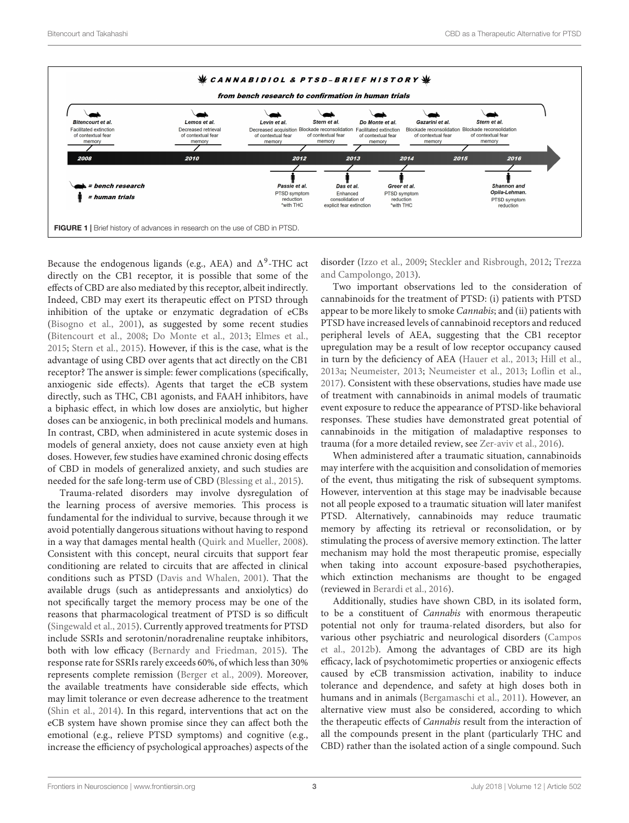



<span id="page-2-0"></span>Because the endogenous ligands (e.g., AEA) and  $\Delta^9$ -THC act directly on the CB1 receptor, it is possible that some of the effects of CBD are also mediated by this receptor, albeit indirectly. Indeed, CBD may exert its therapeutic effect on PTSD through inhibition of the uptake or enzymatic degradation of eCBs [\(Bisogno et al.,](#page-7-8) [2001\)](#page-7-8), as suggested by some recent studies [\(Bitencourt et al.,](#page-7-2) [2008;](#page-7-2) [Do Monte et al.,](#page-7-9) [2013;](#page-7-9) [Elmes et al.,](#page-7-10) [2015;](#page-7-10) [Stern et al.,](#page-9-6) [2015\)](#page-9-6). However, if this is the case, what is the advantage of using CBD over agents that act directly on the CB1 receptor? The answer is simple: fewer complications (specifically, anxiogenic side effects). Agents that target the eCB system directly, such as THC, CB1 agonists, and FAAH inhibitors, have a biphasic effect, in which low doses are anxiolytic, but higher doses can be anxiogenic, in both preclinical models and humans. In contrast, CBD, when administered in acute systemic doses in models of general anxiety, does not cause anxiety even at high doses. However, few studies have examined chronic dosing effects of CBD in models of generalized anxiety, and such studies are needed for the safe long-term use of CBD [\(Blessing et al.,](#page-7-11) [2015\)](#page-7-11).

Trauma-related disorders may involve dysregulation of the learning process of aversive memories. This process is fundamental for the individual to survive, because through it we avoid potentially dangerous situations without having to respond in a way that damages mental health [\(Quirk and Mueller,](#page-8-10) [2008\)](#page-8-10). Consistent with this concept, neural circuits that support fear conditioning are related to circuits that are affected in clinical conditions such as PTSD [\(Davis and Whalen,](#page-7-12) [2001\)](#page-7-12). That the available drugs (such as antidepressants and anxiolytics) do not specifically target the memory process may be one of the reasons that pharmacological treatment of PTSD is so difficult [\(Singewald et al.,](#page-9-7) [2015\)](#page-9-7). Currently approved treatments for PTSD include SSRIs and serotonin/noradrenaline reuptake inhibitors, both with low efficacy [\(Bernardy and Friedman,](#page-7-0) [2015\)](#page-7-0). The response rate for SSRIs rarely exceeds 60%, of which less than 30% represents complete remission [\(Berger et al.,](#page-6-1) [2009\)](#page-6-1). Moreover, the available treatments have considerable side effects, which may limit tolerance or even decrease adherence to the treatment [\(Shin et al.,](#page-9-1) [2014\)](#page-9-1). In this regard, interventions that act on the eCB system have shown promise since they can affect both the emotional (e.g., relieve PTSD symptoms) and cognitive (e.g., increase the efficiency of psychological approaches) aspects of the

disorder [\(Izzo et al.,](#page-8-4) [2009;](#page-8-4) [Steckler and Risbrough,](#page-9-8) [2012;](#page-9-8) [Trezza](#page-9-9) [and Campolongo,](#page-9-9) [2013\)](#page-9-9).

Two important observations led to the consideration of cannabinoids for the treatment of PTSD: (i) patients with PTSD appear to be more likely to smoke Cannabis; and (ii) patients with PTSD have increased levels of cannabinoid receptors and reduced peripheral levels of AEA, suggesting that the CB1 receptor upregulation may be a result of low receptor occupancy caused in turn by the deficiency of AEA [\(Hauer et al.,](#page-8-11) [2013;](#page-8-11) [Hill et al.,](#page-8-12) [2013a;](#page-8-12) [Neumeister,](#page-8-13) [2013;](#page-8-13) [Neumeister et al.,](#page-8-14) [2013;](#page-8-14) [Loflin et al.,](#page-8-15) [2017\)](#page-8-15). Consistent with these observations, studies have made use of treatment with cannabinoids in animal models of traumatic event exposure to reduce the appearance of PTSD-like behavioral responses. These studies have demonstrated great potential of cannabinoids in the mitigation of maladaptive responses to trauma (for a more detailed review, see [Zer-aviv et al.,](#page-9-10) [2016\)](#page-9-10).

When administered after a traumatic situation, cannabinoids may interfere with the acquisition and consolidation of memories of the event, thus mitigating the risk of subsequent symptoms. However, intervention at this stage may be inadvisable because not all people exposed to a traumatic situation will later manifest PTSD. Alternatively, cannabinoids may reduce traumatic memory by affecting its retrieval or reconsolidation, or by stimulating the process of aversive memory extinction. The latter mechanism may hold the most therapeutic promise, especially when taking into account exposure-based psychotherapies, which extinction mechanisms are thought to be engaged (reviewed in [Berardi et al.,](#page-6-0) [2016\)](#page-6-0).

Additionally, studies have shown CBD, in its isolated form, to be a constituent of Cannabis with enormous therapeutic potential not only for trauma-related disorders, but also for various other psychiatric and neurological disorders [\(Campos](#page-7-13) [et al.,](#page-7-13) [2012b\)](#page-7-13). Among the advantages of CBD are its high efficacy, lack of psychotomimetic properties or anxiogenic effects caused by eCB transmission activation, inability to induce tolerance and dependence, and safety at high doses both in humans and in animals [\(Bergamaschi et al.,](#page-6-2) [2011\)](#page-6-2). However, an alternative view must also be considered, according to which the therapeutic effects of Cannabis result from the interaction of all the compounds present in the plant (particularly THC and CBD) rather than the isolated action of a single compound. Such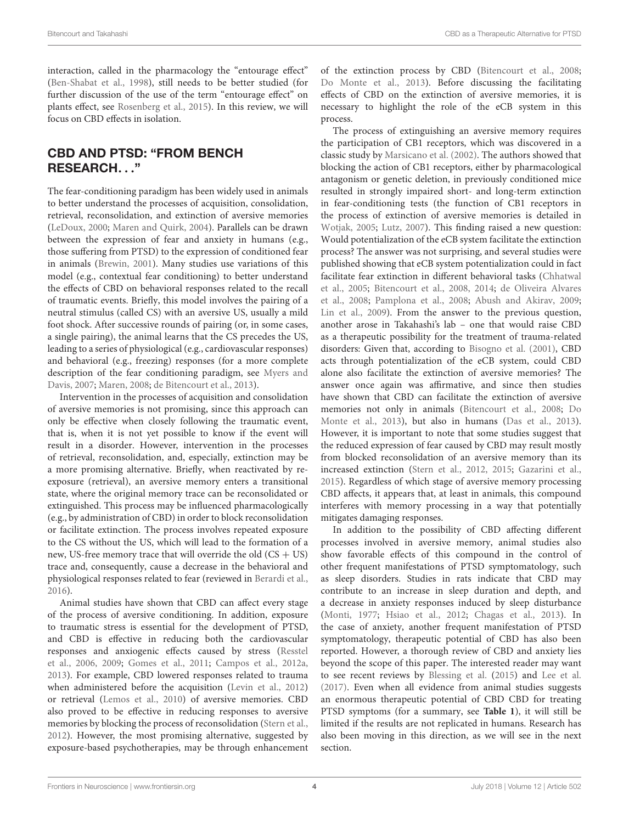interaction, called in the pharmacology the "entourage effect" [\(Ben-Shabat et al.,](#page-6-4) [1998\)](#page-6-4), still needs to be better studied (for further discussion of the use of the term "entourage effect" on plants effect, see [Rosenberg et al.,](#page-9-11) [2015\)](#page-9-11). In this review, we will focus on CBD effects in isolation.

## CBD AND PTSD: "FROM BENCH RESEARCH. . ."

The fear-conditioning paradigm has been widely used in animals to better understand the processes of acquisition, consolidation, retrieval, reconsolidation, and extinction of aversive memories [\(LeDoux,](#page-8-16) [2000;](#page-8-16) [Maren and Quirk,](#page-8-17) [2004\)](#page-8-17). Parallels can be drawn between the expression of fear and anxiety in humans (e.g., those suffering from PTSD) to the expression of conditioned fear in animals [\(Brewin,](#page-7-14) [2001\)](#page-7-14). Many studies use variations of this model (e.g., contextual fear conditioning) to better understand the effects of CBD on behavioral responses related to the recall of traumatic events. Briefly, this model involves the pairing of a neutral stimulus (called CS) with an aversive US, usually a mild foot shock. After successive rounds of pairing (or, in some cases, a single pairing), the animal learns that the CS precedes the US, leading to a series of physiological (e.g., cardiovascular responses) and behavioral (e.g., freezing) responses (for a more complete description of the fear conditioning paradigm, see [Myers and](#page-8-18) [Davis,](#page-8-18) [2007;](#page-8-18) [Maren,](#page-8-19) [2008;](#page-8-19) [de Bitencourt et al.,](#page-7-15) [2013\)](#page-7-15).

Intervention in the processes of acquisition and consolidation of aversive memories is not promising, since this approach can only be effective when closely following the traumatic event, that is, when it is not yet possible to know if the event will result in a disorder. However, intervention in the processes of retrieval, reconsolidation, and, especially, extinction may be a more promising alternative. Briefly, when reactivated by reexposure (retrieval), an aversive memory enters a transitional state, where the original memory trace can be reconsolidated or extinguished. This process may be influenced pharmacologically (e.g., by administration of CBD) in order to block reconsolidation or facilitate extinction. The process involves repeated exposure to the CS without the US, which will lead to the formation of a new, US-free memory trace that will override the old  $(CS + US)$ trace and, consequently, cause a decrease in the behavioral and physiological responses related to fear (reviewed in [Berardi et al.,](#page-6-0) [2016\)](#page-6-0).

Animal studies have shown that CBD can affect every stage of the process of aversive conditioning. In addition, exposure to traumatic stress is essential for the development of PTSD, and CBD is effective in reducing both the cardiovascular responses and anxiogenic effects caused by stress [\(Resstel](#page-8-20) [et al.,](#page-8-20) [2006,](#page-8-20) [2009;](#page-9-12) [Gomes et al.,](#page-7-16) [2011;](#page-7-16) [Campos et al.,](#page-7-17) [2012a,](#page-7-17) [2013\)](#page-7-18). For example, CBD lowered responses related to trauma when administered before the acquisition [\(Levin et al.,](#page-8-21) [2012\)](#page-8-21) or retrieval [\(Lemos et al.,](#page-8-22) [2010\)](#page-8-22) of aversive memories. CBD also proved to be effective in reducing responses to aversive memories by blocking the process of reconsolidation [\(Stern et al.,](#page-9-13) [2012\)](#page-9-13). However, the most promising alternative, suggested by exposure-based psychotherapies, may be through enhancement

of the extinction process by CBD [\(Bitencourt et al.,](#page-7-2) [2008;](#page-7-2) [Do Monte et al.,](#page-7-9) [2013\)](#page-7-9). Before discussing the facilitating effects of CBD on the extinction of aversive memories, it is necessary to highlight the role of the eCB system in this process.

The process of extinguishing an aversive memory requires the participation of CB1 receptors, which was discovered in a classic study by [Marsicano et al.](#page-8-9) [\(2002\)](#page-8-9). The authors showed that blocking the action of CB1 receptors, either by pharmacological antagonism or genetic deletion, in previously conditioned mice resulted in strongly impaired short- and long-term extinction in fear-conditioning tests (the function of CB1 receptors in the process of extinction of aversive memories is detailed in [Wotjak,](#page-9-14) [2005;](#page-9-14) [Lutz,](#page-8-23) [2007\)](#page-8-23). This finding raised a new question: Would potentialization of the eCB system facilitate the extinction process? The answer was not surprising, and several studies were published showing that eCB system potentialization could in fact facilitate fear extinction in different behavioral tasks [\(Chhatwal](#page-7-19) [et al.,](#page-7-19) [2005;](#page-7-19) [Bitencourt et al.,](#page-7-2) [2008,](#page-7-2) [2014;](#page-7-20) [de Oliveira Alvares](#page-7-21) [et al.,](#page-7-21) [2008;](#page-7-21) [Pamplona et al.,](#page-8-24) [2008;](#page-8-24) [Abush and Akirav,](#page-6-5) [2009;](#page-6-5) [Lin et al.,](#page-8-25) [2009\)](#page-8-25). From the answer to the previous question, another arose in Takahashi's lab – one that would raise CBD as a therapeutic possibility for the treatment of trauma-related disorders: Given that, according to [Bisogno et al.](#page-7-8) [\(2001\)](#page-7-8), CBD acts through potentialization of the eCB system, could CBD alone also facilitate the extinction of aversive memories? The answer once again was affirmative, and since then studies have shown that CBD can facilitate the extinction of aversive memories not only in animals [\(Bitencourt et al.,](#page-7-2) [2008;](#page-7-2) [Do](#page-7-9) [Monte et al.,](#page-7-9) [2013\)](#page-7-9), but also in humans [\(Das et al.,](#page-7-3) [2013\)](#page-7-3). However, it is important to note that some studies suggest that the reduced expression of fear caused by CBD may result mostly from blocked reconsolidation of an aversive memory than its increased extinction [\(Stern et al.,](#page-9-13) [2012,](#page-9-13) [2015;](#page-9-6) [Gazarini et al.,](#page-7-22) [2015\)](#page-7-22). Regardless of which stage of aversive memory processing CBD affects, it appears that, at least in animals, this compound interferes with memory processing in a way that potentially mitigates damaging responses.

In addition to the possibility of CBD affecting different processes involved in aversive memory, animal studies also show favorable effects of this compound in the control of other frequent manifestations of PTSD symptomatology, such as sleep disorders. Studies in rats indicate that CBD may contribute to an increase in sleep duration and depth, and a decrease in anxiety responses induced by sleep disturbance [\(Monti,](#page-8-26) [1977;](#page-8-26) [Hsiao et al.,](#page-8-27) [2012;](#page-8-27) [Chagas et al.,](#page-7-23) [2013\)](#page-7-23). In the case of anxiety, another frequent manifestation of PTSD symptomatology, therapeutic potential of CBD has also been reported. However, a thorough review of CBD and anxiety lies beyond the scope of this paper. The interested reader may want to see recent reviews by [Blessing et al.](#page-7-11) [\(2015\)](#page-7-11) and [Lee et al.](#page-8-28) [\(2017\)](#page-8-28). Even when all evidence from animal studies suggests an enormous therapeutic potential of CBD CBD for treating PTSD symptoms (for a summary, see **[Table 1](#page-4-0)**), it will still be limited if the results are not replicated in humans. Research has also been moving in this direction, as we will see in the next section.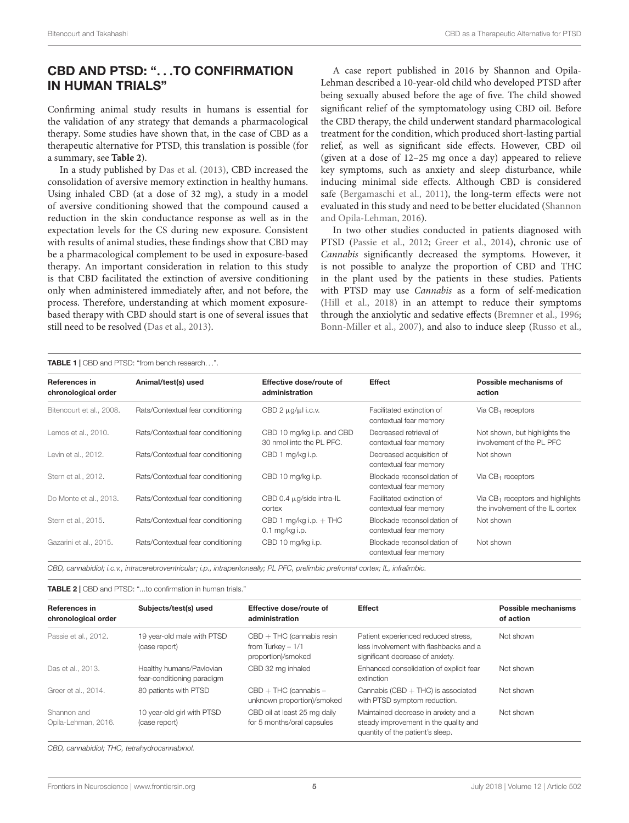## CBD AND PTSD: ". . .TO CONFIRMATION IN HUMAN TRIALS"

Confirming animal study results in humans is essential for the validation of any strategy that demands a pharmacological therapy. Some studies have shown that, in the case of CBD as a therapeutic alternative for PTSD, this translation is possible (for a summary, see **[Table 2](#page-4-1)**).

In a study published by [Das et al.](#page-7-3) [\(2013\)](#page-7-3), CBD increased the consolidation of aversive memory extinction in healthy humans. Using inhaled CBD (at a dose of 32 mg), a study in a model of aversive conditioning showed that the compound caused a reduction in the skin conductance response as well as in the expectation levels for the CS during new exposure. Consistent with results of animal studies, these findings show that CBD may be a pharmacological complement to be used in exposure-based therapy. An important consideration in relation to this study is that CBD facilitated the extinction of aversive conditioning only when administered immediately after, and not before, the process. Therefore, understanding at which moment exposurebased therapy with CBD should start is one of several issues that still need to be resolved [\(Das et al.,](#page-7-3) [2013\)](#page-7-3).

A case report published in 2016 by Shannon and Opila-Lehman described a 10-year-old child who developed PTSD after being sexually abused before the age of five. The child showed significant relief of the symptomatology using CBD oil. Before the CBD therapy, the child underwent standard pharmacological treatment for the condition, which produced short-lasting partial relief, as well as significant side effects. However, CBD oil (given at a dose of 12–25 mg once a day) appeared to relieve key symptoms, such as anxiety and sleep disturbance, while inducing minimal side effects. Although CBD is considered safe [\(Bergamaschi et al.,](#page-6-2) [2011\)](#page-6-2), the long-term effects were not evaluated in this study and need to be better elucidated [\(Shannon](#page-9-15) [and Opila-Lehman,](#page-9-15) [2016\)](#page-9-15).

In two other studies conducted in patients diagnosed with PTSD [\(Passie et al.,](#page-8-0) [2012;](#page-8-0) [Greer et al.,](#page-7-24) [2014\)](#page-7-24), chronic use of Cannabis significantly decreased the symptoms. However, it is not possible to analyze the proportion of CBD and THC in the plant used by the patients in these studies. Patients with PTSD may use Cannabis as a form of self-medication [\(Hill et al.,](#page-8-29) [2018\)](#page-8-29) in an attempt to reduce their symptoms through the anxiolytic and sedative effects [\(Bremner et al.,](#page-7-25) [1996;](#page-7-25) [Bonn-Miller et al.,](#page-7-26) [2007\)](#page-7-26), and also to induce sleep [\(Russo et al.,](#page-9-16)

<span id="page-4-0"></span>TABLE 1 | CBD and PTSD: "from bench research. . .".

| <b>References in</b><br>chronological order | Animal/test(s) used               | Effective dose/route of<br>administration             | <b>Effect</b>                                         | Possible mechanisms of<br>action                                        |
|---------------------------------------------|-----------------------------------|-------------------------------------------------------|-------------------------------------------------------|-------------------------------------------------------------------------|
| Bitencourt et al., 2008.                    | Rats/Contextual fear conditioning | CBD $2 \mu q / \mu l$ i.c.v.                          | Facilitated extinction of<br>contextual fear memory   | Via $CB_1$ receptors                                                    |
| Lemos et al., 2010.                         | Rats/Contextual fear conditioning | CBD 10 mg/kg i.p. and CBD<br>30 nmol into the PL PFC. | Decreased retrieval of<br>contextual fear memory      | Not shown, but highlights the<br>involvement of the PL PFC              |
| Levin et al., 2012.                         | Rats/Contextual fear conditioning | CBD 1 mg/kg i.p.                                      | Decreased acquisition of<br>contextual fear memory    | Not shown                                                               |
| Stern et al., 2012.                         | Rats/Contextual fear conditioning | CBD 10 mg/kg i.p.                                     | Blockade reconsolidation of<br>contextual fear memory | Via $CB_1$ receptors                                                    |
| Do Monte et al., 2013.                      | Rats/Contextual fear conditioning | CBD 0.4 $\mu$ g/side intra-IL<br>cortex               | Facilitated extinction of<br>contextual fear memory   | Via $CB_1$ receptors and highlights<br>the involvement of the IL cortex |
| Stern et al., 2015.                         | Rats/Contextual fear conditioning | CBD 1 mg/kg i.p. $+$ THC<br>$0.1$ mg/kg i.p.          | Blockade reconsolidation of<br>contextual fear memory | Not shown                                                               |
| Gazarini et al., 2015.                      | Rats/Contextual fear conditioning | CBD 10 mg/kg i.p.                                     | Blockade reconsolidation of<br>contextual fear memory | Not shown                                                               |

CBD, cannabidiol; i.c.v., intracerebroventricular; i.p., intraperitoneally; PL PFC, prelimbic prefrontal cortex; IL, infralimbic.

<span id="page-4-1"></span>TABLE 2 | CBD and PTSD: "...to confirmation in human trials."

| References in<br>chronological order | Subjects/test(s) used                                  | Effective dose/route of<br>administration                               | <b>Effect</b>                                                                                                     | Possible mechanisms<br>of action |
|--------------------------------------|--------------------------------------------------------|-------------------------------------------------------------------------|-------------------------------------------------------------------------------------------------------------------|----------------------------------|
| Passie et al., 2012.                 | 19 year-old male with PTSD<br>(case report)            | $CBD + THC$ (cannabis resin<br>from Turkey $-1/1$<br>proportion)/smoked | Patient experienced reduced stress,<br>less involvement with flashbacks and a<br>significant decrease of anxiety. | Not shown                        |
| Das et al., 2013.                    | Healthy humans/Pavlovian<br>fear-conditioning paradigm | CBD 32 mg inhaled                                                       | Enhanced consolidation of explicit fear<br>extinction                                                             | Not shown                        |
| Greer et al., 2014.                  | 80 patients with PTSD                                  | $CBD + THC$ (cannabis $-$<br>unknown proportion)/smoked                 | Cannabis (CBD $+$ THC) is associated<br>with PTSD symptom reduction.                                              | Not shown                        |
| Shannon and<br>Opila-Lehman, 2016.   | 10 year-old girl with PTSD<br>(case report)            | CBD oil at least 25 mg daily<br>for 5 months/oral capsules              | Maintained decrease in anxiety and a<br>steady improvement in the quality and<br>quantity of the patient's sleep. | Not shown                        |

CBD, cannabidiol; THC, tetrahydrocannabinol.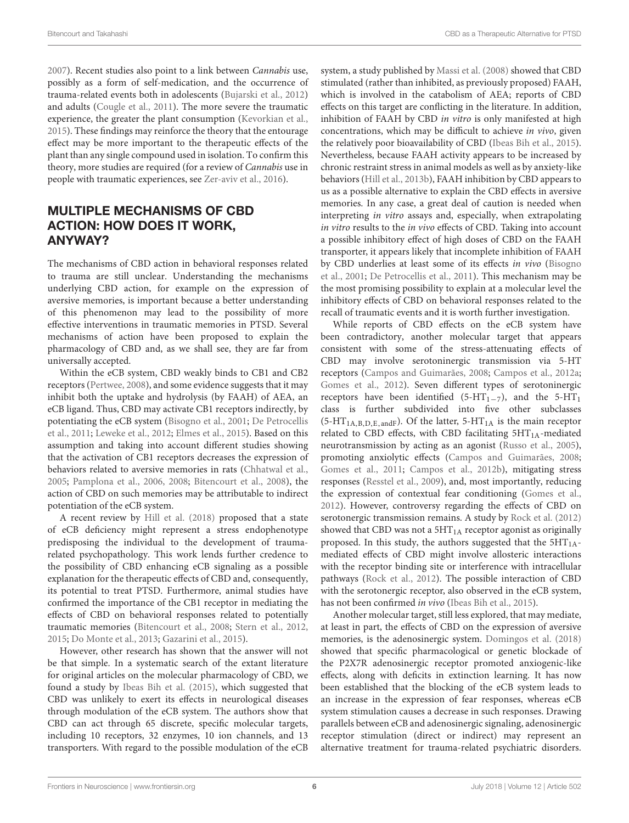[2007\)](#page-9-16). Recent studies also point to a link between Cannabis use, possibly as a form of self-medication, and the occurrence of trauma-related events both in adolescents [\(Bujarski et al.,](#page-7-27) [2012\)](#page-7-27) and adults [\(Cougle et al.,](#page-7-28) [2011\)](#page-7-28). The more severe the traumatic experience, the greater the plant consumption [\(Kevorkian et al.,](#page-8-30) [2015\)](#page-8-30). These findings may reinforce the theory that the entourage effect may be more important to the therapeutic effects of the plant than any single compound used in isolation. To confirm this theory, more studies are required (for a review of Cannabis use in people with traumatic experiences, see [Zer-aviv et al.,](#page-9-10) [2016\)](#page-9-10).

## MULTIPLE MECHANISMS OF CBD ACTION: HOW DOES IT WORK, ANYWAY?

The mechanisms of CBD action in behavioral responses related to trauma are still unclear. Understanding the mechanisms underlying CBD action, for example on the expression of aversive memories, is important because a better understanding of this phenomenon may lead to the possibility of more effective interventions in traumatic memories in PTSD. Several mechanisms of action have been proposed to explain the pharmacology of CBD and, as we shall see, they are far from universally accepted.

Within the eCB system, CBD weakly binds to CB1 and CB2 receptors [\(Pertwee,](#page-8-31) [2008\)](#page-8-31), and some evidence suggests that it may inhibit both the uptake and hydrolysis (by FAAH) of AEA, an eCB ligand. Thus, CBD may activate CB1 receptors indirectly, by potentiating the eCB system [\(Bisogno et al.,](#page-7-8) [2001;](#page-7-8) [De Petrocellis](#page-7-29) [et al.,](#page-7-29) [2011;](#page-7-29) [Leweke et al.,](#page-8-32) [2012;](#page-8-32) [Elmes et al.,](#page-7-10) [2015\)](#page-7-10). Based on this assumption and taking into account different studies showing that the activation of CB1 receptors decreases the expression of behaviors related to aversive memories in rats [\(Chhatwal et al.,](#page-7-19) [2005;](#page-7-19) [Pamplona et al.,](#page-8-33) [2006,](#page-8-33) [2008;](#page-8-24) [Bitencourt et al.,](#page-7-2) [2008\)](#page-7-2), the action of CBD on such memories may be attributable to indirect potentiation of the eCB system.

A recent review by [Hill et al.](#page-8-29) [\(2018\)](#page-8-29) proposed that a state of eCB deficiency might represent a stress endophenotype predisposing the individual to the development of traumarelated psychopathology. This work lends further credence to the possibility of CBD enhancing eCB signaling as a possible explanation for the therapeutic effects of CBD and, consequently, its potential to treat PTSD. Furthermore, animal studies have confirmed the importance of the CB1 receptor in mediating the effects of CBD on behavioral responses related to potentially traumatic memories [\(Bitencourt et al.,](#page-7-2) [2008;](#page-7-2) [Stern et al.,](#page-9-13) [2012,](#page-9-13) [2015;](#page-9-6) [Do Monte et al.,](#page-7-9) [2013;](#page-7-9) [Gazarini et al.,](#page-7-22) [2015\)](#page-7-22).

However, other research has shown that the answer will not be that simple. In a systematic search of the extant literature for original articles on the molecular pharmacology of CBD, we found a study by [Ibeas Bih et al.](#page-8-34) [\(2015\)](#page-8-34), which suggested that CBD was unlikely to exert its effects in neurological diseases through modulation of the eCB system. The authors show that CBD can act through 65 discrete, specific molecular targets, including 10 receptors, 32 enzymes, 10 ion channels, and 13 transporters. With regard to the possible modulation of the eCB

system, a study published by [Massi et al.](#page-8-35) [\(2008\)](#page-8-35) showed that CBD stimulated (rather than inhibited, as previously proposed) FAAH, which is involved in the catabolism of AEA; reports of CBD effects on this target are conflicting in the literature. In addition, inhibition of FAAH by CBD in vitro is only manifested at high concentrations, which may be difficult to achieve in vivo, given the relatively poor bioavailability of CBD [\(Ibeas Bih et al.,](#page-8-34) [2015\)](#page-8-34). Nevertheless, because FAAH activity appears to be increased by chronic restraint stress in animal models as well as by anxiety-like behaviors [\(Hill et al.,](#page-8-36) [2013b\)](#page-8-36), FAAH inhibition by CBD appears to us as a possible alternative to explain the CBD effects in aversive memories. In any case, a great deal of caution is needed when interpreting in vitro assays and, especially, when extrapolating in vitro results to the in vivo effects of CBD. Taking into account a possible inhibitory effect of high doses of CBD on the FAAH transporter, it appears likely that incomplete inhibition of FAAH by CBD underlies at least some of its effects in vivo [\(Bisogno](#page-7-8) [et al.,](#page-7-8) [2001;](#page-7-8) [De Petrocellis et al.,](#page-7-29) [2011\)](#page-7-29). This mechanism may be the most promising possibility to explain at a molecular level the inhibitory effects of CBD on behavioral responses related to the recall of traumatic events and it is worth further investigation.

While reports of CBD effects on the eCB system have been contradictory, another molecular target that appears consistent with some of the stress-attenuating effects of CBD may involve serotoninergic transmission via 5-HT receptors [\(Campos and Guimarães,](#page-7-30) [2008;](#page-7-30) [Campos et al.,](#page-7-17) [2012a;](#page-7-17) [Gomes et al.,](#page-7-31) [2012\)](#page-7-31). Seven different types of serotoninergic receptors have been identified (5-HT<sub>1−7</sub>), and the 5-HT<sub>1</sub> class is further subdivided into five other subclasses  $(5-HT<sub>1A,B,D,E,andF</sub>)$ . Of the latter,  $5-HT<sub>1A</sub>$  is the main receptor related to CBD effects, with CBD facilitating  $5HT<sub>1A</sub>$ -mediated neurotransmission by acting as an agonist [\(Russo et al.,](#page-9-17) [2005\)](#page-9-17), promoting anxiolytic effects [\(Campos and Guimarães,](#page-7-30) [2008;](#page-7-30) [Gomes et al.,](#page-7-16) [2011;](#page-7-16) [Campos et al.,](#page-7-13) [2012b\)](#page-7-13), mitigating stress responses [\(Resstel et al.,](#page-9-12) [2009\)](#page-9-12), and, most importantly, reducing the expression of contextual fear conditioning [\(Gomes et al.,](#page-7-31) [2012\)](#page-7-31). However, controversy regarding the effects of CBD on serotonergic transmission remains. A study by [Rock et al.](#page-9-18) [\(2012\)](#page-9-18) showed that CBD was not a  $5HT<sub>1A</sub>$  receptor agonist as originally proposed. In this study, the authors suggested that the  $5HT<sub>1A</sub>$ mediated effects of CBD might involve allosteric interactions with the receptor binding site or interference with intracellular pathways [\(Rock et al.,](#page-9-18) [2012\)](#page-9-18). The possible interaction of CBD with the serotonergic receptor, also observed in the eCB system, has not been confirmed in vivo [\(Ibeas Bih et al.,](#page-8-34) [2015\)](#page-8-34).

Another molecular target, still less explored, that may mediate, at least in part, the effects of CBD on the expression of aversive memories, is the adenosinergic system. [Domingos et al.](#page-7-32) [\(2018\)](#page-7-32) showed that specific pharmacological or genetic blockade of the P2X7R adenosinergic receptor promoted anxiogenic-like effects, along with deficits in extinction learning. It has now been established that the blocking of the eCB system leads to an increase in the expression of fear responses, whereas eCB system stimulation causes a decrease in such responses. Drawing parallels between eCB and adenosinergic signaling, adenosinergic receptor stimulation (direct or indirect) may represent an alternative treatment for trauma-related psychiatric disorders.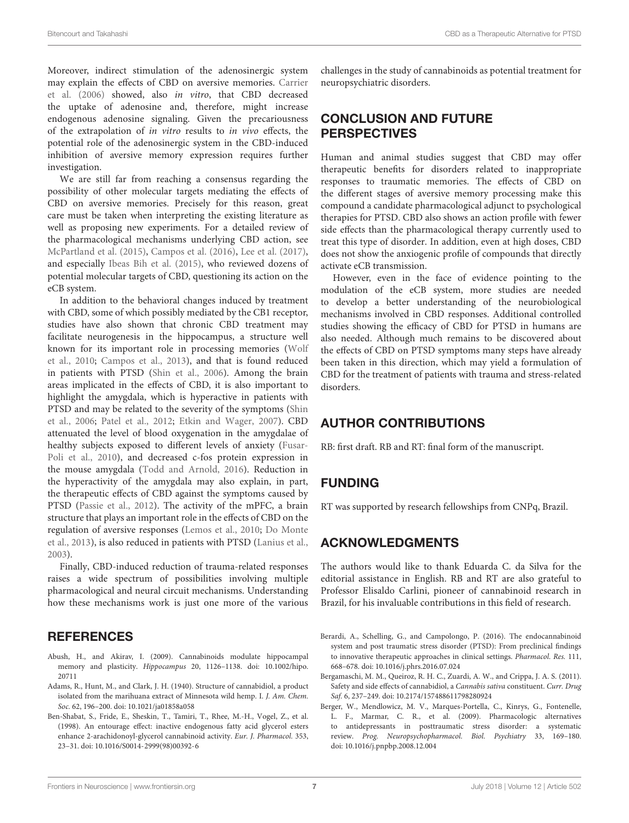Moreover, indirect stimulation of the adenosinergic system may explain the effects of CBD on aversive memories. [Carrier](#page-7-33) [et al.](#page-7-33) [\(2006\)](#page-7-33) showed, also in vitro, that CBD decreased the uptake of adenosine and, therefore, might increase endogenous adenosine signaling. Given the precariousness of the extrapolation of in vitro results to in vivo effects, the potential role of the adenosinergic system in the CBD-induced inhibition of aversive memory expression requires further investigation.

We are still far from reaching a consensus regarding the possibility of other molecular targets mediating the effects of CBD on aversive memories. Precisely for this reason, great care must be taken when interpreting the existing literature as well as proposing new experiments. For a detailed review of the pharmacological mechanisms underlying CBD action, see [McPartland et al.](#page-8-37) [\(2015\)](#page-8-37), [Campos et al.](#page-7-34) [\(2016\)](#page-7-34), [Lee et al.](#page-8-28) [\(2017\)](#page-8-28), and especially [Ibeas Bih et al.](#page-8-34) [\(2015\)](#page-8-34), who reviewed dozens of potential molecular targets of CBD, questioning its action on the eCB system.

In addition to the behavioral changes induced by treatment with CBD, some of which possibly mediated by the CB1 receptor, studies have also shown that chronic CBD treatment may facilitate neurogenesis in the hippocampus, a structure well known for its important role in processing memories [\(Wolf](#page-9-19) [et al.,](#page-9-19) [2010;](#page-9-19) [Campos et al.,](#page-7-18) [2013\)](#page-7-18), and that is found reduced in patients with PTSD [\(Shin et al.,](#page-9-20) [2006\)](#page-9-20). Among the brain areas implicated in the effects of CBD, it is also important to highlight the amygdala, which is hyperactive in patients with PTSD and may be related to the severity of the symptoms [\(Shin](#page-9-20) [et al.,](#page-9-20) [2006;](#page-9-20) [Patel et al.,](#page-8-38) [2012;](#page-8-38) [Etkin and Wager,](#page-7-35) [2007\)](#page-7-35). CBD attenuated the level of blood oxygenation in the amygdalae of healthy subjects exposed to different levels of anxiety [\(Fusar-](#page-7-36)[Poli et al.,](#page-7-36) [2010\)](#page-7-36), and decreased c-fos protein expression in the mouse amygdala [\(Todd and Arnold,](#page-9-21) [2016\)](#page-9-21). Reduction in the hyperactivity of the amygdala may also explain, in part, the therapeutic effects of CBD against the symptoms caused by PTSD [\(Passie et al.,](#page-8-0) [2012\)](#page-8-0). The activity of the mPFC, a brain structure that plays an important role in the effects of CBD on the regulation of aversive responses [\(Lemos et al.,](#page-8-22) [2010;](#page-8-22) [Do Monte](#page-7-9) [et al.,](#page-7-9) [2013\)](#page-7-9), is also reduced in patients with PTSD [\(Lanius et al.,](#page-8-39) [2003\)](#page-8-39).

Finally, CBD-induced reduction of trauma-related responses raises a wide spectrum of possibilities involving multiple pharmacological and neural circuit mechanisms. Understanding how these mechanisms work is just one more of the various

#### **REFERENCES**

- <span id="page-6-5"></span>Abush, H., and Akirav, I. (2009). Cannabinoids modulate hippocampal memory and plasticity. Hippocampus 20, 1126–1138. [doi: 10.1002/hipo.](https://doi.org/10.1002/hipo.20711) [20711](https://doi.org/10.1002/hipo.20711)
- <span id="page-6-3"></span>Adams, R., Hunt, M., and Clark, J. H. (1940). Structure of cannabidiol, a product isolated from the marihuana extract of Minnesota wild hemp. I. J. Am. Chem. Soc. 62, 196–200. [doi: 10.1021/ja01858a058](https://doi.org/10.1021/ja01858a058)
- <span id="page-6-4"></span>Ben-Shabat, S., Fride, E., Sheskin, T., Tamiri, T., Rhee, M.-H., Vogel, Z., et al. (1998). An entourage effect: inactive endogenous fatty acid glycerol esters enhance 2-arachidonoyl-glycerol cannabinoid activity. Eur. J. Pharmacol. 353, 23–31. [doi: 10.1016/S0014-2999\(98\)00392-6](https://doi.org/10.1016/S0014-2999(98)00392-6)

challenges in the study of cannabinoids as potential treatment for neuropsychiatric disorders.

#### CONCLUSION AND FUTURE PERSPECTIVES

Human and animal studies suggest that CBD may offer therapeutic benefits for disorders related to inappropriate responses to traumatic memories. The effects of CBD on the different stages of aversive memory processing make this compound a candidate pharmacological adjunct to psychological therapies for PTSD. CBD also shows an action profile with fewer side effects than the pharmacological therapy currently used to treat this type of disorder. In addition, even at high doses, CBD does not show the anxiogenic profile of compounds that directly activate eCB transmission.

However, even in the face of evidence pointing to the modulation of the eCB system, more studies are needed to develop a better understanding of the neurobiological mechanisms involved in CBD responses. Additional controlled studies showing the efficacy of CBD for PTSD in humans are also needed. Although much remains to be discovered about the effects of CBD on PTSD symptoms many steps have already been taken in this direction, which may yield a formulation of CBD for the treatment of patients with trauma and stress-related disorders.

## AUTHOR CONTRIBUTIONS

RB: first draft. RB and RT: final form of the manuscript.

#### FUNDING

RT was supported by research fellowships from CNPq, Brazil.

#### ACKNOWLEDGMENTS

The authors would like to thank Eduarda C. da Silva for the editorial assistance in English. RB and RT are also grateful to Professor Elisaldo Carlini, pioneer of cannabinoid research in Brazil, for his invaluable contributions in this field of research.

- <span id="page-6-0"></span>Berardi, A., Schelling, G., and Campolongo, P. (2016). The endocannabinoid system and post traumatic stress disorder (PTSD): From preclinical findings to innovative therapeutic approaches in clinical settings. Pharmacol. Res. 111, 668–678. [doi: 10.1016/j.phrs.2016.07.024](https://doi.org/10.1016/j.phrs.2016.07.024)
- <span id="page-6-2"></span>Bergamaschi, M. M., Queiroz, R. H. C., Zuardi, A. W., and Crippa, J. A. S. (2011). Safety and side effects of cannabidiol, a Cannabis sativa constituent. Curr. Drug Saf. 6, 237–249. [doi: 10.2174/157488611798280924](https://doi.org/10.2174/157488611798280924)
- <span id="page-6-1"></span>Berger, W., Mendlowicz, M. V., Marques-Portella, C., Kinrys, G., Fontenelle, L. F., Marmar, C. R., et al. (2009). Pharmacologic alternatives to antidepressants in posttraumatic stress disorder: a systematic review. Prog. Neuropsychopharmacol. Biol. Psychiatry 33, 169–180. [doi: 10.1016/j.pnpbp.2008.12.004](https://doi.org/10.1016/j.pnpbp.2008.12.004)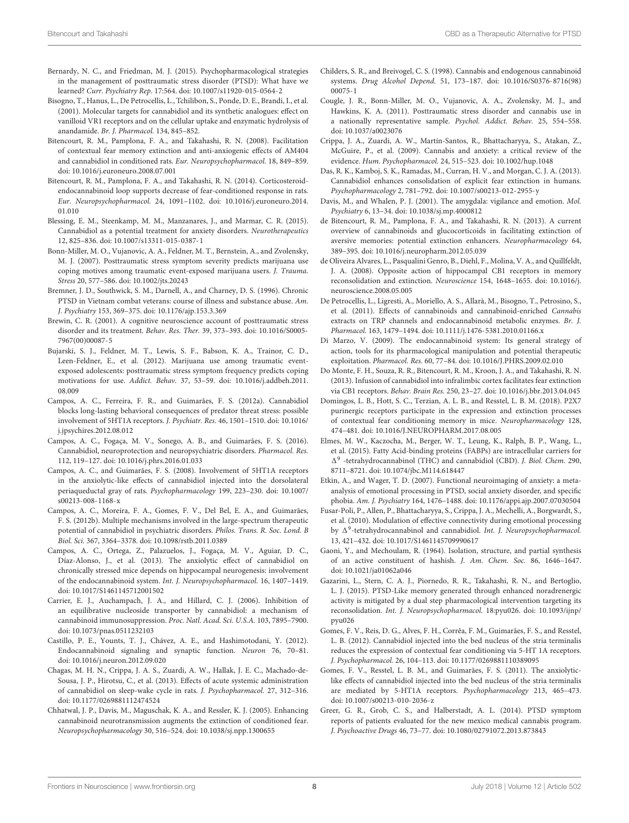- <span id="page-7-0"></span>Bernardy, N. C., and Friedman, M. J. (2015). Psychopharmacological strategies in the management of posttraumatic stress disorder (PTSD): What have we learned? Curr. Psychiatry Rep. 17:564. [doi: 10.1007/s11920-015-0564-2](https://doi.org/10.1007/s11920-015-0564-2)
- <span id="page-7-8"></span>Bisogno, T., Hanus, L., De Petrocellis, L., Tchilibon, S., Ponde, D. E., Brandi, I., et al. (2001). Molecular targets for cannabidiol and its synthetic analogues: effect on vanilloid VR1 receptors and on the cellular uptake and enzymatic hydrolysis of anandamide. Br. J. Pharmacol. 134, 845–852.
- <span id="page-7-2"></span>Bitencourt, R. M., Pamplona, F. A., and Takahashi, R. N. (2008). Facilitation of contextual fear memory extinction and anti-anxiogenic effects of AM404 and cannabidiol in conditioned rats. Eur. Neuropsychopharmacol. 18, 849–859. [doi: 10.1016/j.euroneuro.2008.07.001](https://doi.org/10.1016/j.euroneuro.2008.07.001)
- <span id="page-7-20"></span>Bitencourt, R. M., Pamplona, F. A., and Takahashi, R. N. (2014). Corticosteroidendocannabinoid loop supports decrease of fear-conditioned response in rats. Eur. Neuropsychopharmacol. 24, 1091–1102. [doi: 10.1016/j.euroneuro.2014.](https://doi.org/10.1016/j.euroneuro.2014.01.010) [01.010](https://doi.org/10.1016/j.euroneuro.2014.01.010)
- <span id="page-7-11"></span>Blessing, E. M., Steenkamp, M. M., Manzanares, J., and Marmar, C. R. (2015). Cannabidiol as a potential treatment for anxiety disorders. Neurotherapeutics 12, 825–836. [doi: 10.1007/s13311-015-0387-1](https://doi.org/10.1007/s13311-015-0387-1)
- <span id="page-7-26"></span>Bonn-Miller, M. O., Vujanovic, A. A., Feldner, M. T., Bernstein, A., and Zvolensky, M. J. (2007). Posttraumatic stress symptom severity predicts marijuana use coping motives among traumatic event-exposed marijuana users. J. Trauma. Stress 20, 577–586. [doi: 10.1002/jts.20243](https://doi.org/10.1002/jts.20243)
- <span id="page-7-25"></span>Bremner, J. D., Southwick, S. M., Darnell, A., and Charney, D. S. (1996). Chronic PTSD in Vietnam combat veterans: course of illness and substance abuse. Am. J. Psychiatry 153, 369–375. [doi: 10.1176/ajp.153.3.369](https://doi.org/10.1176/ajp.153.3.369)
- <span id="page-7-14"></span>Brewin, C. R. (2001). A cognitive neuroscience account of posttraumatic stress disorder and its treatment. Behav. Res. Ther. 39, 373–393. [doi: 10.1016/S0005-](https://doi.org/10.1016/S0005-7967(00)00087-5) [7967\(00\)00087-5](https://doi.org/10.1016/S0005-7967(00)00087-5)
- <span id="page-7-27"></span>Bujarski, S. J., Feldner, M. T., Lewis, S. F., Babson, K. A., Trainor, C. D., Leen-Feldner, E., et al. (2012). Marijuana use among traumatic eventexposed adolescents: posttraumatic stress symptom frequency predicts coping motivations for use. Addict. Behav. 37, 53–59. [doi: 10.1016/j.addbeh.2011.](https://doi.org/10.1016/j.addbeh.2011.08.009) [08.009](https://doi.org/10.1016/j.addbeh.2011.08.009)
- <span id="page-7-17"></span>Campos, A. C., Ferreira, F. R., and Guimarães, F. S. (2012a). Cannabidiol blocks long-lasting behavioral consequences of predator threat stress: possible involvement of 5HT1A receptors. J. Psychiatr. Res. 46, 1501–1510. [doi: 10.1016/](https://doi.org/10.1016/j.jpsychires.2012.08.012) [j.jpsychires.2012.08.012](https://doi.org/10.1016/j.jpsychires.2012.08.012)
- <span id="page-7-34"></span>Campos, A. C., Fogaça, M. V., Sonego, A. B., and Guimarães, F. S. (2016). Cannabidiol, neuroprotection and neuropsychiatric disorders. Pharmacol. Res. 112, 119–127. [doi: 10.1016/j.phrs.2016.01.033](https://doi.org/10.1016/j.phrs.2016.01.033)
- <span id="page-7-30"></span>Campos, A. C., and Guimarães, F. S. (2008). Involvement of 5HT1A receptors in the anxiolytic-like effects of cannabidiol injected into the dorsolateral periaqueductal gray of rats. Psychopharmacology 199, 223–230. [doi: 10.1007/](https://doi.org/10.1007/s00213-008-1168-x) [s00213-008-1168-x](https://doi.org/10.1007/s00213-008-1168-x)
- <span id="page-7-13"></span>Campos, A. C., Moreira, F. A., Gomes, F. V., Del Bel, E. A., and Guimarães, F. S. (2012b). Multiple mechanisms involved in the large-spectrum therapeutic potential of cannabidiol in psychiatric disorders. Philos. Trans. R. Soc. Lond. B Biol. Sci. 367, 3364–3378. [doi: 10.1098/rstb.2011.0389](https://doi.org/10.1098/rstb.2011.0389)
- <span id="page-7-18"></span>Campos, A. C., Ortega, Z., Palazuelos, J., Fogaça, M. V., Aguiar, D. C., Díaz-Alonso, J., et al. (2013). The anxiolytic effect of cannabidiol on chronically stressed mice depends on hippocampal neurogenesis: involvement of the endocannabinoid system. Int. J. Neuropsychopharmacol. 16, 1407–1419. [doi: 10.1017/S1461145712001502](https://doi.org/10.1017/S1461145712001502)
- <span id="page-7-33"></span>Carrier, E. J., Auchampach, J. A., and Hillard, C. J. (2006). Inhibition of an equilibrative nucleoside transporter by cannabidiol: a mechanism of cannabinoid immunosuppression. Proc. Natl. Acad. Sci. U.S.A. 103, 7895–7900. [doi: 10.1073/pnas.0511232103](https://doi.org/10.1073/pnas.0511232103)
- <span id="page-7-1"></span>Castillo, P. E., Younts, T. J., Chávez, A. E., and Hashimotodani, Y. (2012). Endocannabinoid signaling and synaptic function. Neuron 76, 70–81. [doi: 10.1016/j.neuron.2012.09.020](https://doi.org/10.1016/j.neuron.2012.09.020)
- <span id="page-7-23"></span>Chagas, M. H. N., Crippa, J. A. S., Zuardi, A. W., Hallak, J. E. C., Machado-de-Sousa, J. P., Hirotsu, C., et al. (2013). Effects of acute systemic administration of cannabidiol on sleep-wake cycle in rats. J. Psychopharmacol. 27, 312–316. [doi: 10.1177/0269881112474524](https://doi.org/10.1177/0269881112474524)
- <span id="page-7-19"></span>Chhatwal, J. P., Davis, M., Maguschak, K. A., and Ressler, K. J. (2005). Enhancing cannabinoid neurotransmission augments the extinction of conditioned fear. Neuropsychopharmacology 30, 516–524. [doi: 10.1038/sj.npp.1300655](https://doi.org/10.1038/sj.npp.1300655)
- <span id="page-7-7"></span>Childers, S. R., and Breivogel, C. S. (1998). Cannabis and endogenous cannabinoid systems. Drug Alcohol Depend. 51, 173–187. [doi: 10.1016/S0376-8716\(98\)](https://doi.org/10.1016/S0376-8716(98)00075-1) [00075-1](https://doi.org/10.1016/S0376-8716(98)00075-1)
- <span id="page-7-28"></span>Cougle, J. R., Bonn-Miller, M. O., Vujanovic, A. A., Zvolensky, M. J., and Hawkins, K. A. (2011). Posttraumatic stress disorder and cannabis use in a nationally representative sample. Psychol. Addict. Behav. 25, 554–558. [doi: 10.1037/a0023076](https://doi.org/10.1037/a0023076)
- <span id="page-7-5"></span>Crippa, J. A., Zuardi, A. W., Martín-Santos, R., Bhattacharyya, S., Atakan, Z., McGuire, P., et al. (2009). Cannabis and anxiety: a critical review of the evidence. Hum. Psychopharmacol. 24, 515–523. [doi: 10.1002/hup.1048](https://doi.org/10.1002/hup.1048)
- <span id="page-7-3"></span>Das, R. K., Kamboj, S. K., Ramadas, M., Curran, H. V., and Morgan, C. J. A. (2013). Cannabidiol enhances consolidation of explicit fear extinction in humans. Psychopharmacology 2, 781–792. [doi: 10.1007/s00213-012-2955-y](https://doi.org/10.1007/s00213-012-2955-y)
- <span id="page-7-12"></span>Davis, M., and Whalen, P. J. (2001). The amygdala: vigilance and emotion. Mol. Psychiatry 6, 13–34. [doi: 10.1038/sj.mp.4000812](https://doi.org/10.1038/sj.mp.4000812)
- <span id="page-7-15"></span>de Bitencourt, R. M., Pamplona, F. A., and Takahashi, R. N. (2013). A current overview of cannabinoids and glucocorticoids in facilitating extinction of aversive memories: potential extinction enhancers. Neuropharmacology 64, 389–395. [doi: 10.1016/j.neuropharm.2012.05.039](https://doi.org/10.1016/j.neuropharm.2012.05.039)
- <span id="page-7-21"></span>de Oliveira Alvares, L., Pasqualini Genro, B., Diehl, F., Molina, V. A., and Quillfeldt, J. A. (2008). Opposite action of hippocampal CB1 receptors in memory reconsolidation and extinction. Neuroscience 154, 1648–1655. [doi: 10.1016/j.](https://doi.org/10.1016/j.neuroscience.2008.05.005) [neuroscience.2008.05.005](https://doi.org/10.1016/j.neuroscience.2008.05.005)
- <span id="page-7-29"></span>De Petrocellis, L., Ligresti, A., Moriello, A. S., Allarà, M., Bisogno, T., Petrosino, S., et al. (2011). Effects of cannabinoids and cannabinoid-enriched Cannabis extracts on TRP channels and endocannabinoid metabolic enzymes. Br. J. Pharmacol. 163, 1479–1494. [doi: 10.1111/j.1476-5381.2010.01166.x](https://doi.org/10.1111/j.1476-5381.2010.01166.x)
- <span id="page-7-6"></span>Di Marzo, V. (2009). The endocannabinoid system: Its general strategy of action, tools for its pharmacological manipulation and potential therapeutic exploitation. Pharmacol. Res. 60, 77–84. [doi: 10.1016/J.PHRS.2009.02.010](https://doi.org/10.1016/J.PHRS.2009.02.010)
- <span id="page-7-9"></span>Do Monte, F. H., Souza, R. R., Bitencourt, R. M., Kroon, J. A., and Takahashi, R. N. (2013). Infusion of cannabidiol into infralimbic cortex facilitates fear extinction via CB1 receptors. Behav. Brain Res. 250, 23–27. [doi: 10.1016/j.bbr.2013.04.045](https://doi.org/10.1016/j.bbr.2013.04.045)
- <span id="page-7-32"></span>Domingos, L. B., Hott, S. C., Terzian, A. L. B., and Resstel, L. B. M. (2018). P2X7 purinergic receptors participate in the expression and extinction processes of contextual fear conditioning memory in mice. Neuropharmacology 128, 474–481. [doi: 10.1016/J.NEUROPHARM.2017.08.005](https://doi.org/10.1016/J.NEUROPHARM.2017.08.005)
- <span id="page-7-10"></span>Elmes, M. W., Kaczocha, M., Berger, W. T., Leung, K., Ralph, B. P., Wang, L., et al. (2015). Fatty Acid-binding proteins (FABPs) are intracellular carriers for  $\Delta^9$  -tetrahydrocannabinol (THC) and cannabidiol (CBD). J. Biol. Chem. 290, 8711–8721. [doi: 10.1074/jbc.M114.618447](https://doi.org/10.1074/jbc.M114.618447)
- <span id="page-7-35"></span>Etkin, A., and Wager, T. D. (2007). Functional neuroimaging of anxiety: a metaanalysis of emotional processing in PTSD, social anxiety disorder, and specific phobia. Am. J. Psychiatry 164, 1476–1488. [doi: 10.1176/appi.ajp.2007.07030504](https://doi.org/10.1176/appi.ajp.2007.07030504)
- <span id="page-7-36"></span>Fusar-Poli, P., Allen, P., Bhattacharyya, S., Crippa, J. A., Mechelli, A., Borgwardt, S., et al. (2010). Modulation of effective connectivity during emotional processing by  $\Delta^9$ -tetrahydrocannabinol and cannabidiol. Int. J. Neuropsychopharmacol. 13, 421–432. [doi: 10.1017/S1461145709990617](https://doi.org/10.1017/S1461145709990617)
- <span id="page-7-4"></span>Gaoni, Y., and Mechoulam, R. (1964). Isolation, structure, and partial synthesis of an active constituent of hashish. J. Am. Chem. Soc. 86, 1646–1647. [doi: 10.1021/ja01062a046](https://doi.org/10.1021/ja01062a046)
- <span id="page-7-22"></span>Gazarini, L., Stern, C. A. J., Piornedo, R. R., Takahashi, R. N., and Bertoglio, L. J. (2015). PTSD-Like memory generated through enhanced noradrenergic activity is mitigated by a dual step pharmacological intervention targeting its reconsolidation. Int. J. Neuropsychopharmacol. 18:pyu026. [doi: 10.1093/ijnp/](https://doi.org/10.1093/ijnp/pyu026) [pyu026](https://doi.org/10.1093/ijnp/pyu026)
- <span id="page-7-31"></span>Gomes, F. V., Reis, D. G., Alves, F. H., Corrêa, F. M., Guimarães, F. S., and Resstel, L. B. (2012). Cannabidiol injected into the bed nucleus of the stria terminalis reduces the expression of contextual fear conditioning via 5-HT 1A receptors. J. Psychopharmacol. 26, 104–113. [doi: 10.1177/0269881110389095](https://doi.org/10.1177/0269881110389095)
- <span id="page-7-16"></span>Gomes, F. V., Resstel, L. B. M., and Guimarães, F. S. (2011). The anxiolyticlike effects of cannabidiol injected into the bed nucleus of the stria terminalis are mediated by 5-HT1A receptors. Psychopharmacology 213, 465–473. [doi: 10.1007/s00213-010-2036-z](https://doi.org/10.1007/s00213-010-2036-z)
- <span id="page-7-24"></span>Greer, G. R., Grob, C. S., and Halberstadt, A. L. (2014). PTSD symptom reports of patients evaluated for the new mexico medical cannabis program. J. Psychoactive Drugs 46, 73–77. [doi: 10.1080/02791072.2013.873843](https://doi.org/10.1080/02791072.2013.873843)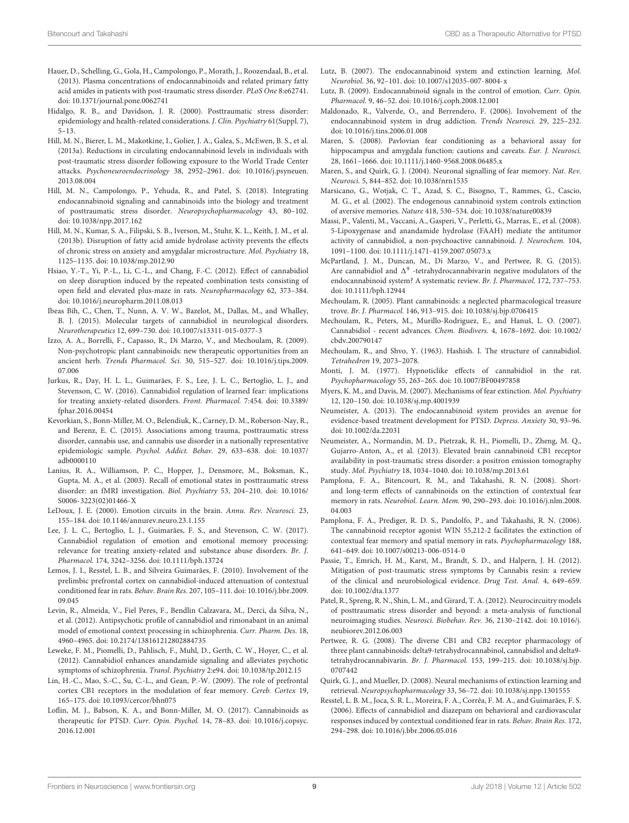- <span id="page-8-11"></span>Hauer, D., Schelling, G., Gola, H., Campolongo, P., Morath, J., Roozendaal, B., et al. (2013). Plasma concentrations of endocannabinoids and related primary fatty acid amides in patients with post-traumatic stress disorder. PLoS One 8:e62741. [doi: 10.1371/journal.pone.0062741](https://doi.org/10.1371/journal.pone.0062741)
- <span id="page-8-1"></span>Hidalgo, R. B., and Davidson, J. R. (2000). Posttraumatic stress disorder: epidemiology and health-related considerations. J. Clin. Psychiatry 61(Suppl. 7), 5–13.
- <span id="page-8-12"></span>Hill, M. N., Bierer, L. M., Makotkine, I., Golier, J. A., Galea, S., McEwen, B. S., et al. (2013a). Reductions in circulating endocannabinoid levels in individuals with post-traumatic stress disorder following exposure to the World Trade Center attacks. Psychoneuroendocrinology 38, 2952–2961. [doi: 10.1016/j.psyneuen.](https://doi.org/10.1016/j.psyneuen.2013.08.004) [2013.08.004](https://doi.org/10.1016/j.psyneuen.2013.08.004)
- <span id="page-8-29"></span>Hill, M. N., Campolongo, P., Yehuda, R., and Patel, S. (2018). Integrating endocannabinoid signaling and cannabinoids into the biology and treatment of posttraumatic stress disorder. Neuropsychopharmacology 43, 80–102. [doi: 10.1038/npp.2017.162](https://doi.org/10.1038/npp.2017.162)
- <span id="page-8-36"></span>Hill, M. N., Kumar, S. A., Filipski, S. B., Iverson, M., Stuhr, K. L., Keith, J. M., et al. (2013b). Disruption of fatty acid amide hydrolase activity prevents the effects of chronic stress on anxiety and amygdalar microstructure. Mol. Psychiatry 18, 1125–1135. [doi: 10.1038/mp.2012.90](https://doi.org/10.1038/mp.2012.90)
- <span id="page-8-27"></span>Hsiao, Y.-T., Yi, P.-L., Li, C.-L., and Chang, F.-C. (2012). Effect of cannabidiol on sleep disruption induced by the repeated combination tests consisting of open field and elevated plus-maze in rats. Neuropharmacology 62, 373–384. [doi: 10.1016/j.neuropharm.2011.08.013](https://doi.org/10.1016/j.neuropharm.2011.08.013)
- <span id="page-8-34"></span>Ibeas Bih, C., Chen, T., Nunn, A. V. W., Bazelot, M., Dallas, M., and Whalley, B. J. (2015). Molecular targets of cannabidiol in neurological disorders. Neurotherapeutics 12, 699–730. [doi: 10.1007/s13311-015-0377-3](https://doi.org/10.1007/s13311-015-0377-3)
- <span id="page-8-4"></span>Izzo, A. A., Borrelli, F., Capasso, R., Di Marzo, V., and Mechoulam, R. (2009). Non-psychotropic plant cannabinoids: new therapeutic opportunities from an ancient herb. Trends Pharmacol. Sci. 30, 515–527. [doi: 10.1016/j.tips.2009.](https://doi.org/10.1016/j.tips.2009.07.006) [07.006](https://doi.org/10.1016/j.tips.2009.07.006)
- <span id="page-8-2"></span>Jurkus, R., Day, H. L. L., Guimarães, F. S., Lee, J. L. C., Bertoglio, L. J., and Stevenson, C. W. (2016). Cannabidiol regulation of learned fear: implications for treating anxiety-related disorders. Front. Pharmacol. 7:454. [doi: 10.3389/](https://doi.org/10.3389/fphar.2016.00454) [fphar.2016.00454](https://doi.org/10.3389/fphar.2016.00454)
- <span id="page-8-30"></span>Kevorkian, S., Bonn-Miller, M. O., Belendiuk, K., Carney, D. M., Roberson-Nay, R., and Berenz, E. C. (2015). Associations among trauma, posttraumatic stress disorder, cannabis use, and cannabis use disorder in a nationally representative epidemiologic sample. Psychol. Addict. Behav. 29, 633–638. [doi: 10.1037/](https://doi.org/10.1037/adb0000110) [adb0000110](https://doi.org/10.1037/adb0000110)
- <span id="page-8-39"></span>Lanius, R. A., Williamson, P. C., Hopper, J., Densmore, M., Boksman, K., Gupta, M. A., et al. (2003). Recall of emotional states in posttraumatic stress disorder: an fMRI investigation. Biol. Psychiatry 53, 204–210. [doi: 10.1016/](https://doi.org/10.1016/S0006-3223(02)01466-X) [S0006-3223\(02\)01466-X](https://doi.org/10.1016/S0006-3223(02)01466-X)
- <span id="page-8-16"></span>LeDoux, J. E. (2000). Emotion circuits in the brain. Annu. Rev. Neurosci. 23, 155–184. [doi: 10.1146/annurev.neuro.23.1.155](https://doi.org/10.1146/annurev.neuro.23.1.155)
- <span id="page-8-28"></span>Lee, J. L. C., Bertoglio, L. J., Guimarães, F. S., and Stevenson, C. W. (2017). Cannabidiol regulation of emotion and emotional memory processing: relevance for treating anxiety-related and substance abuse disorders. Br. J. Pharmacol. 174, 3242–3256. [doi: 10.1111/bph.13724](https://doi.org/10.1111/bph.13724)
- <span id="page-8-22"></span>Lemos, J. I., Resstel, L. B., and Silveira Guimarães, F. (2010). Involvement of the prelimbic prefrontal cortex on cannabidiol-induced attenuation of contextual conditioned fear in rats. Behav. Brain Res. 207, 105–111. [doi: 10.1016/j.bbr.2009.](https://doi.org/10.1016/j.bbr.2009.09.045) [09.045](https://doi.org/10.1016/j.bbr.2009.09.045)
- <span id="page-8-21"></span>Levin, R., Almeida, V., Fiel Peres, F., Bendlin Calzavara, M., Derci, da Silva, N., et al. (2012). Antipsychotic profile of cannabidiol and rimonabant in an animal model of emotional context processing in schizophrenia. Curr. Pharm. Des. 18, 4960–4965. [doi: 10.2174/138161212802884735](https://doi.org/10.2174/138161212802884735)
- <span id="page-8-32"></span>Leweke, F. M., Piomelli, D., Pahlisch, F., Muhl, D., Gerth, C. W., Hoyer, C., et al. (2012). Cannabidiol enhances anandamide signaling and alleviates psychotic symptoms of schizophrenia. Transl. Psychiatry 2:e94. [doi: 10.1038/tp.2012.15](https://doi.org/10.1038/tp.2012.15)
- <span id="page-8-25"></span>Lin, H.-C., Mao, S.-C., Su, C.-L., and Gean, P.-W. (2009). The role of prefrontal cortex CB1 receptors in the modulation of fear memory. Cereb. Cortex 19, 165–175. [doi: 10.1093/cercor/bhn075](https://doi.org/10.1093/cercor/bhn075)
- <span id="page-8-15"></span>Loflin, M. J., Babson, K. A., and Bonn-Miller, M. O. (2017). Cannabinoids as therapeutic for PTSD. Curr. Opin. Psychol. 14, 78–83. [doi: 10.1016/j.copsyc.](https://doi.org/10.1016/j.copsyc.2016.12.001) [2016.12.001](https://doi.org/10.1016/j.copsyc.2016.12.001)
- <span id="page-8-23"></span>Lutz, B. (2007). The endocannabinoid system and extinction learning. Mol. Neurobiol. 36, 92–101. [doi: 10.1007/s12035-007-8004-x](https://doi.org/10.1007/s12035-007-8004-x)
- <span id="page-8-7"></span>Lutz, B. (2009). Endocannabinoid signals in the control of emotion. Curr. Opin. Pharmacol. 9, 46–52. [doi: 10.1016/j.coph.2008.12.001](https://doi.org/10.1016/j.coph.2008.12.001)
- <span id="page-8-8"></span>Maldonado, R., Valverde, O., and Berrendero, F. (2006). Involvement of the endocannabinoid system in drug addiction. Trends Neurosci. 29, 225–232. [doi: 10.1016/j.tins.2006.01.008](https://doi.org/10.1016/j.tins.2006.01.008)
- <span id="page-8-19"></span>Maren, S. (2008). Pavlovian fear conditioning as a behavioral assay for hippocampus and amygdala function: cautions and caveats. Eur. J. Neurosci. 28, 1661–1666. [doi: 10.1111/j.1460-9568.2008.06485.x](https://doi.org/10.1111/j.1460-9568.2008.06485.x)
- <span id="page-8-17"></span>Maren, S., and Quirk, G. J. (2004). Neuronal signalling of fear memory. Nat. Rev. Neurosci. 5, 844–852. [doi: 10.1038/nrn1535](https://doi.org/10.1038/nrn1535)
- <span id="page-8-9"></span>Marsicano, G., Wotjak, C. T., Azad, S. C., Bisogno, T., Rammes, G., Cascio, M. G., et al. (2002). The endogenous cannabinoid system controls extinction of aversive memories. Nature 418, 530–534. [doi: 10.1038/nature00839](https://doi.org/10.1038/nature00839)
- <span id="page-8-35"></span>Massi, P., Valenti, M., Vaccani, A., Gasperi, V., Perletti, G., Marras, E., et al. (2008). 5-Lipoxygenase and anandamide hydrolase (FAAH) mediate the antitumor activity of cannabidiol, a non-psychoactive cannabinoid. J. Neurochem. 104, 1091–1100. [doi: 10.1111/j.1471-4159.2007.05073.x](https://doi.org/10.1111/j.1471-4159.2007.05073.x)
- <span id="page-8-37"></span>McPartland, J. M., Duncan, M., Di Marzo, V., and Pertwee, R. G. (2015). Are cannabidiol and  $\Delta^9$  -tetrahydrocannabivarin negative modulators of the endocannabinoid system? A systematic review. Br. J. Pharmacol. 172, 737–753. [doi: 10.1111/bph.12944](https://doi.org/10.1111/bph.12944)
- <span id="page-8-3"></span>Mechoulam, R. (2005). Plant cannabinoids: a neglected pharmacological treasure trove. Br. J. Pharmacol. 146, 913–915. [doi: 10.1038/sj.bjp.0706415](https://doi.org/10.1038/sj.bjp.0706415)
- <span id="page-8-6"></span>Mechoulam, R., Peters, M., Murillo-Rodriguez, E., and Hanuš, L. O. (2007). Cannabidiol - recent advances. Chem. Biodivers. 4, 1678–1692. [doi: 10.1002/](https://doi.org/10.1002/cbdv.200790147) [cbdv.200790147](https://doi.org/10.1002/cbdv.200790147)
- <span id="page-8-5"></span>Mechoulam, R., and Shvo, Y. (1963). Hashish. I. The structure of cannabidiol. Tetrahedron 19, 2073–2078.
- <span id="page-8-26"></span>Monti, J. M. (1977). Hypnoticlike effects of cannabidiol in the rat. Psychopharmacology 55, 263–265. [doi: 10.1007/BF00497858](https://doi.org/10.1007/BF00497858)
- <span id="page-8-18"></span>Myers, K. M., and Davis, M. (2007). Mechanisms of fear extinction. Mol. Psychiatry 12, 120–150. [doi: 10.1038/sj.mp.4001939](https://doi.org/10.1038/sj.mp.4001939)
- <span id="page-8-13"></span>Neumeister, A. (2013). The endocannabinoid system provides an avenue for evidence-based treatment development for PTSD. Depress. Anxiety 30, 93–96. [doi: 10.1002/da.22031](https://doi.org/10.1002/da.22031)
- <span id="page-8-14"></span>Neumeister, A., Normandin, M. D., Pietrzak, R. H., Piomelli, D., Zheng, M. Q., Gujarro-Anton, A., et al. (2013). Elevated brain cannabinoid CB1 receptor availability in post-traumatic stress disorder: a positron emission tomography study. Mol. Psychiatry 18, 1034–1040. [doi: 10.1038/mp.2013.61](https://doi.org/10.1038/mp.2013.61)
- <span id="page-8-24"></span>Pamplona, F. A., Bitencourt, R. M., and Takahashi, R. N. (2008). Shortand long-term effects of cannabinoids on the extinction of contextual fear memory in rats. Neurobiol. Learn. Mem. 90, 290–293. [doi: 10.1016/j.nlm.2008.](https://doi.org/10.1016/j.nlm.2008.04.003) [04.003](https://doi.org/10.1016/j.nlm.2008.04.003)
- <span id="page-8-33"></span>Pamplona, F. A., Prediger, R. D. S., Pandolfo, P., and Takahashi, R. N. (2006). The cannabinoid receptor agonist WIN 55,212-2 facilitates the extinction of contextual fear memory and spatial memory in rats. Psychopharmacology 188, 641–649. [doi: 10.1007/s00213-006-0514-0](https://doi.org/10.1007/s00213-006-0514-0)
- <span id="page-8-0"></span>Passie, T., Emrich, H. M., Karst, M., Brandt, S. D., and Halpern, J. H. (2012). Mitigation of post-traumatic stress symptoms by Cannabis resin: a review of the clinical and neurobiological evidence. Drug Test. Anal. 4, 649–659. [doi: 10.1002/dta.1377](https://doi.org/10.1002/dta.1377)
- <span id="page-8-38"></span>Patel, R., Spreng, R. N., Shin, L. M., and Girard, T. A. (2012). Neurocircuitry models of posttraumatic stress disorder and beyond: a meta-analysis of functional neuroimaging studies. Neurosci. Biobehav. Rev. 36, 2130–2142. [doi: 10.1016/j.](https://doi.org/10.1016/j.neubiorev.2012.06.003) [neubiorev.2012.06.003](https://doi.org/10.1016/j.neubiorev.2012.06.003)
- <span id="page-8-31"></span>Pertwee, R. G. (2008). The diverse CB1 and CB2 receptor pharmacology of three plant cannabinoids: delta9-tetrahydrocannabinol, cannabidiol and delta9 tetrahydrocannabivarin. Br. J. Pharmacol. 153, 199–215. [doi: 10.1038/sj.bjp.](https://doi.org/10.1038/sj.bjp.0707442) [0707442](https://doi.org/10.1038/sj.bjp.0707442)
- <span id="page-8-10"></span>Quirk, G. J., and Mueller, D. (2008). Neural mechanisms of extinction learning and retrieval. Neuropsychopharmacology 33, 56–72. [doi: 10.1038/sj.npp.1301555](https://doi.org/10.1038/sj.npp.1301555)
- <span id="page-8-20"></span>Resstel, L. B. M., Joca, S. R. L., Moreira, F. A., Corrêa, F. M. A., and Guimarães, F. S. (2006). Effects of cannabidiol and diazepam on behavioral and cardiovascular responses induced by contextual conditioned fear in rats. Behav. Brain Res. 172, 294–298. [doi: 10.1016/j.bbr.2006.05.016](https://doi.org/10.1016/j.bbr.2006.05.016)